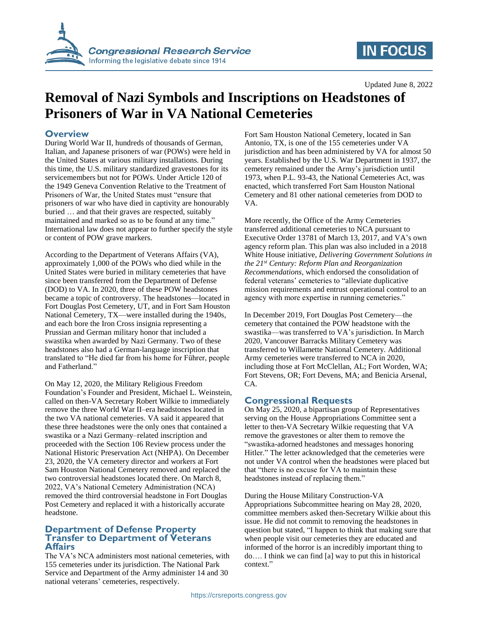

# **IN FOCUS**

Updated June 8, 2022

# **Removal of Nazi Symbols and Inscriptions on Headstones of Prisoners of War in VA National Cemeteries**

### **Overview**

During World War II, hundreds of thousands of German, Italian, and Japanese prisoners of war (POWs) were held in the United States at various military installations. During this time, the U.S. military standardized gravestones for its servicemembers but not for POWs. Under Article 120 of the 1949 Geneva Convention Relative to the Treatment of Prisoners of War, the United States must "ensure that prisoners of war who have died in captivity are honourably buried … and that their graves are respected, suitably maintained and marked so as to be found at any time." International law does not appear to further specify the style or content of POW grave markers.

According to the Department of Veterans Affairs (VA), approximately 1,000 of the POWs who died while in the United States were buried in military cemeteries that have since been transferred from the Department of Defense (DOD) to VA. In 2020, three of these POW headstones became a topic of controversy. The headstones—located in Fort Douglas Post Cemetery, UT, and in Fort Sam Houston National Cemetery, TX—were installed during the 1940s, and each bore the Iron Cross insignia representing a Prussian and German military honor that included a swastika when awarded by Nazi Germany. Two of these headstones also had a German-language inscription that translated to "He died far from his home for Führer, people and Fatherland."

On May 12, 2020, the Military Religious Freedom Foundation's Founder and President, Michael L. Weinstein, called on then-VA Secretary Robert Wilkie to immediately remove the three World War II–era headstones located in the two VA national cemeteries. VA said it appeared that these three headstones were the only ones that contained a swastika or a Nazi Germany–related inscription and proceeded with the Section 106 Review process under the National Historic Preservation Act (NHPA). On December 23, 2020, the VA cemetery director and workers at Fort Sam Houston National Cemetery removed and replaced the two controversial headstones located there. On March 8, 2022, VA's National Cemetery Administration (NCA) removed the third controversial headstone in Fort Douglas Post Cemetery and replaced it with a historically accurate headstone.

#### **Department of Defense Property Transfer to Department of Veterans Affairs**

The VA's NCA administers most national cemeteries, with 155 cemeteries under its jurisdiction. The National Park Service and Department of the Army administer 14 and 30 national veterans' cemeteries, respectively.

Fort Sam Houston National Cemetery, located in San Antonio, TX, is one of the 155 cemeteries under VA jurisdiction and has been administered by VA for almost 50 years. Established by the U.S. War Department in 1937, the cemetery remained under the Army's jurisdiction until 1973, when P.L. 93-43, the National Cemeteries Act, was enacted, which transferred Fort Sam Houston National Cemetery and 81 other national cemeteries from DOD to VA.

More recently, the Office of the Army Cemeteries transferred additional cemeteries to NCA pursuant to Executive Order 13781 of March 13, 2017, and VA's own agency reform plan. This plan was also included in a 2018 White House initiative, *Delivering Government Solutions in the 21st Century: Reform Plan and Reorganization Recommendations*, which endorsed the consolidation of federal veterans' cemeteries to "alleviate duplicative mission requirements and entrust operational control to an agency with more expertise in running cemeteries."

In December 2019, Fort Douglas Post Cemetery—the cemetery that contained the POW headstone with the swastika—was transferred to VA's jurisdiction. In March 2020, Vancouver Barracks Military Cemetery was transferred to Willamette National Cemetery. Additional Army cemeteries were transferred to NCA in 2020, including those at Fort McClellan, AL; Fort Worden, WA; Fort Stevens, OR; Fort Devens, MA; and Benicia Arsenal, CA.

#### **Congressional Requests**

On May 25, 2020, a bipartisan group of Representatives serving on the House Appropriations Committee sent a letter to then-VA Secretary Wilkie requesting that VA remove the gravestones or alter them to remove the "swastika-adorned headstones and messages honoring Hitler." The letter acknowledged that the cemeteries were not under VA control when the headstones were placed but that "there is no excuse for VA to maintain these headstones instead of replacing them."

During the House Military Construction-VA Appropriations Subcommittee hearing on May 28, 2020, committee members asked then-Secretary Wilkie about this issue. He did not commit to removing the headstones in question but stated, "I happen to think that making sure that when people visit our cemeteries they are educated and informed of the horror is an incredibly important thing to do…. I think we can find [a] way to put this in historical context."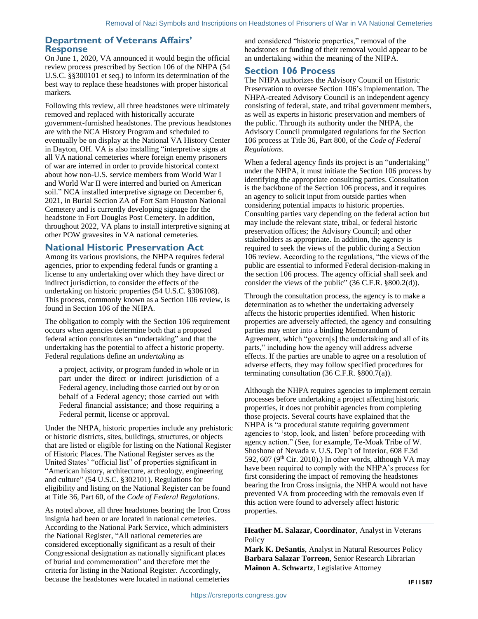#### **Department of Veterans Affairs' Response**

On June 1, 2020, VA announced it would begin the official review process prescribed by Section 106 of the NHPA (54 U.S.C. §§300101 et seq.) to inform its determination of the best way to replace these headstones with proper historical markers.

Following this review, all three headstones were ultimately removed and replaced with historically accurate government-furnished headstones. The previous headstones are with the NCA History Program and scheduled to eventually be on display at the National VA History Center in Dayton, OH. VA is also installing "interpretive signs at all VA national cemeteries where foreign enemy prisoners of war are interred in order to provide historical context about how non-U.S. service members from World War I and World War II were interred and buried on American soil." NCA installed interpretive signage on December 6, 2021, in Burial Section ZA of Fort Sam Houston National Cemetery and is currently developing signage for the headstone in Fort Douglas Post Cemetery. In addition, throughout 2022, VA plans to install interpretive signing at other POW gravesites in VA national cemeteries.

### **National Historic Preservation Act**

Among its various provisions, the NHPA requires federal agencies, prior to expending federal funds or granting a license to any undertaking over which they have direct or indirect jurisdiction, to consider the effects of the undertaking on historic properties (54 U.S.C. §306108). This process, commonly known as a Section 106 review, is found in Section 106 of the NHPA.

The obligation to comply with the Section 106 requirement occurs when agencies determine both that a proposed federal action constitutes an "undertaking" and that the undertaking has the potential to affect a historic property. Federal regulations define an *undertaking* as

a project, activity, or program funded in whole or in part under the direct or indirect jurisdiction of a Federal agency, including those carried out by or on behalf of a Federal agency; those carried out with Federal financial assistance; and those requiring a Federal permit, license or approval.

Under the NHPA, historic properties include any prehistoric or historic districts, sites, buildings, structures, or objects that are listed or eligible for listing on the National Register of Historic Places. The National Register serves as the United States' "official list" of properties significant in "American history, architecture, archeology, engineering and culture" (54 U.S.C. §302101). Regulations for eligibility and listing on the National Register can be found at Title 36, Part 60, of the *Code of Federal Regulations*.

As noted above, all three headstones bearing the Iron Cross insignia had been or are located in national cemeteries. According to the National Park Service, which administers the National Register, "All national cemeteries are considered exceptionally significant as a result of their Congressional designation as nationally significant places of burial and commemoration" and therefore met the criteria for listing in the National Register. Accordingly, because the headstones were located in national cemeteries

and considered "historic properties," removal of the headstones or funding of their removal would appear to be an undertaking within the meaning of the NHPA.

### **Section 106 Process**

The NHPA authorizes the Advisory Council on Historic Preservation to oversee Section 106's implementation. The NHPA-created Advisory Council is an independent agency consisting of federal, state, and tribal government members, as well as experts in historic preservation and members of the public. Through its authority under the NHPA, the Advisory Council promulgated regulations for the Section 106 process at Title 36, Part 800, of the *Code of Federal Regulations*.

When a federal agency finds its project is an "undertaking" under the NHPA, it must initiate the Section 106 process by identifying the appropriate consulting parties. Consultation is the backbone of the Section 106 process, and it requires an agency to solicit input from outside parties when considering potential impacts to historic properties. Consulting parties vary depending on the federal action but may include the relevant state, tribal, or federal historic preservation offices; the Advisory Council; and other stakeholders as appropriate. In addition, the agency is required to seek the views of the public during a Section 106 review. According to the regulations, "the views of the public are essential to informed Federal decision-making in the section 106 process. The agency official shall seek and consider the views of the public" (36 C.F.R. §800.2(d)).

Through the consultation process, the agency is to make a determination as to whether the undertaking adversely affects the historic properties identified. When historic properties are adversely affected, the agency and consulting parties may enter into a binding Memorandum of Agreement, which "govern[s] the undertaking and all of its parts," including how the agency will address adverse effects. If the parties are unable to agree on a resolution of adverse effects, they may follow specified procedures for terminating consultation (36 C.F.R. §800.7(a)).

Although the NHPA requires agencies to implement certain processes before undertaking a project affecting historic properties, it does not prohibit agencies from completing those projects. Several courts have explained that the NHPA is "a procedural statute requiring government agencies to 'stop, look, and listen' before proceeding with agency action." (See, for example, Te-Moak Tribe of W. Shoshone of Nevada v. U.S. Dep't of Interior, 608 F.3d 592, 607 (9th Cir. 2010).) In other words, although VA may have been required to comply with the NHPA's process for first considering the impact of removing the headstones bearing the Iron Cross insignia, the NHPA would not have prevented VA from proceeding with the removals even if this action were found to adversely affect historic properties.

**Heather M. Salazar, Coordinator**, Analyst in Veterans **Policy** 

**Mark K. DeSantis**, Analyst in Natural Resources Policy **Barbara Salazar Torreon**, Senior Research Librarian **Mainon A. Schwartz**, Legislative Attorney